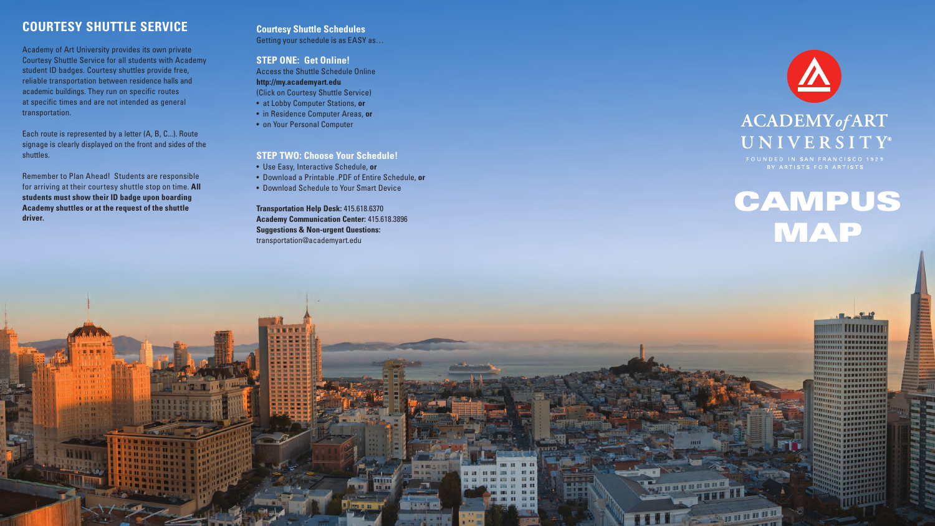## **COURTESY SHUTTLE SERVICE**

Academy of Art University provides its own private Courtesy Shuttle Service for all students with Academy student ID badges. Courtesy shuttles provide free, reliable transportation between residence halls and academic buildings. They run on specific routes at specific times and are not intended as general transportation.

Each route is represented by a letter (A, B, C...). Route signage is clearly displayed on the front and sides of the shuttles.

Remember to Plan Ahead! Students are responsible for arriving at their courtesy shuttle stop on time. **All students must show their ID badge upon boarding Academy shuttles or at the request of the shuttle driver.** 

# **CAMPUS** MAP

**IIIII ANNUSEEREE TITTI BESERVASTES UUUU SEESTEEDE TITTI KARAKEEREER** 

**D WHATER** 

## **Courtesy Shuttle Schedules**

Getting your schedule is as EASY as…

## **STEP ONE: Get Online!**

Access the Shuttle Schedule Online **http://my.academyart.edu** (Click on Courtesy Shuttle Service)

- at Lobby Computer Stations, **or**
- in Residence Computer Areas, **or**
- on Your Personal Computer

## **STEP TWO: Choose Your Schedule!**

- Use Easy, Interactive Schedule, **or**
- Download a Printable .PDF of Entire Schedule, **or**
- Download Schedule to Your Smart Device

**Transportation Help Desk:** 415.618.6370 **Academy Communication Center:** 415.618.3896 **Suggestions & Non-urgent Questions:**  transportation@academyart.edu





## **ACADEMY** of ART UNIVERSITY®